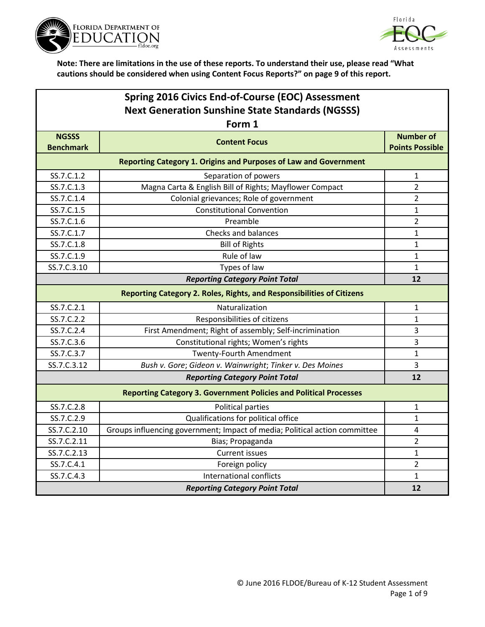



| Spring 2016 Civics End-of-Course (EOC) Assessment       |                                                                            |                         |  |
|---------------------------------------------------------|----------------------------------------------------------------------------|-------------------------|--|
| <b>Next Generation Sunshine State Standards (NGSSS)</b> |                                                                            |                         |  |
|                                                         | Form 1                                                                     |                         |  |
| <b>NGSSS</b>                                            | <b>Content Focus</b>                                                       | <b>Number of</b>        |  |
| <b>Benchmark</b>                                        |                                                                            | <b>Points Possible</b>  |  |
|                                                         | <b>Reporting Category 1. Origins and Purposes of Law and Government</b>    |                         |  |
| SS.7.C.1.2                                              | Separation of powers                                                       | 1                       |  |
| SS.7.C.1.3                                              | Magna Carta & English Bill of Rights; Mayflower Compact                    | $\overline{2}$          |  |
| SS.7.C.1.4                                              | Colonial grievances; Role of government                                    | $\overline{2}$          |  |
| SS.7.C.1.5                                              | <b>Constitutional Convention</b>                                           | $\mathbf{1}$            |  |
| SS.7.C.1.6                                              | Preamble                                                                   | $\overline{2}$          |  |
| SS.7.C.1.7                                              | Checks and balances                                                        | 1                       |  |
| SS.7.C.1.8                                              | <b>Bill of Rights</b>                                                      | 1                       |  |
| SS.7.C.1.9                                              | Rule of law                                                                | $\mathbf{1}$            |  |
| SS.7.C.3.10                                             | Types of law                                                               | $\mathbf{1}$            |  |
| <b>Reporting Category Point Total</b>                   |                                                                            |                         |  |
|                                                         | Reporting Category 2. Roles, Rights, and Responsibilities of Citizens      |                         |  |
| SS.7.C.2.1                                              | Naturalization                                                             | 1                       |  |
| SS.7.C.2.2                                              | Responsibilities of citizens                                               | $\mathbf{1}$            |  |
| SS.7.C.2.4                                              | First Amendment; Right of assembly; Self-incrimination                     | 3                       |  |
| SS.7.C.3.6                                              | Constitutional rights; Women's rights                                      | 3                       |  |
| SS.7.C.3.7                                              | <b>Twenty-Fourth Amendment</b>                                             | $\mathbf{1}$            |  |
| SS.7.C.3.12                                             | Bush v. Gore; Gideon v. Wainwright; Tinker v. Des Moines                   | 3                       |  |
|                                                         | <b>Reporting Category Point Total</b>                                      | 12                      |  |
|                                                         | <b>Reporting Category 3. Government Policies and Political Processes</b>   |                         |  |
| SS.7.C.2.8                                              | Political parties                                                          | $\mathbf{1}$            |  |
| SS.7.C.2.9                                              | Qualifications for political office                                        | $\mathbf{1}$            |  |
| SS.7.C.2.10                                             | Groups influencing government; Impact of media; Political action committee | $\overline{\mathbf{4}}$ |  |
| SS.7.C.2.11                                             | Bias; Propaganda                                                           | $\overline{2}$          |  |
| SS.7.C.2.13                                             | <b>Current issues</b>                                                      | $\mathbf{1}$            |  |
| SS.7.C.4.1                                              | Foreign policy                                                             | $\overline{2}$          |  |
| SS.7.C.4.3                                              | International conflicts                                                    | $\mathbf{1}$            |  |
| <b>Reporting Category Point Total</b>                   |                                                                            |                         |  |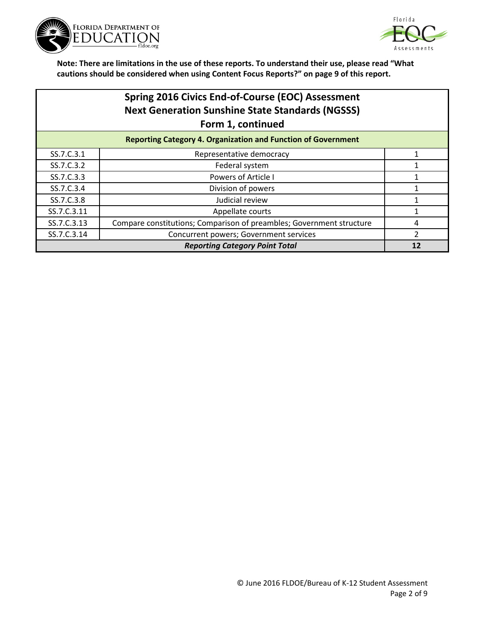



|             | Spring 2016 Civics End-of-Course (EOC) Assessment<br><b>Next Generation Sunshine State Standards (NGSSS)</b><br>Form 1, continued |                |
|-------------|-----------------------------------------------------------------------------------------------------------------------------------|----------------|
|             | <b>Reporting Category 4. Organization and Function of Government</b>                                                              |                |
| SS.7.C.3.1  | Representative democracy                                                                                                          |                |
| SS.7.C.3.2  | Federal system                                                                                                                    |                |
| SS.7.C.3.3  | <b>Powers of Article I</b>                                                                                                        | 1              |
| SS.7.C.3.4  | Division of powers                                                                                                                |                |
| SS.7.C.3.8  | Judicial review                                                                                                                   |                |
| SS.7.C.3.11 | Appellate courts                                                                                                                  |                |
| SS.7.C.3.13 | Compare constitutions; Comparison of preambles; Government structure                                                              | 4              |
| SS.7.C.3.14 | Concurrent powers; Government services                                                                                            | $\overline{2}$ |
|             | <b>Reporting Category Point Total</b>                                                                                             | 12             |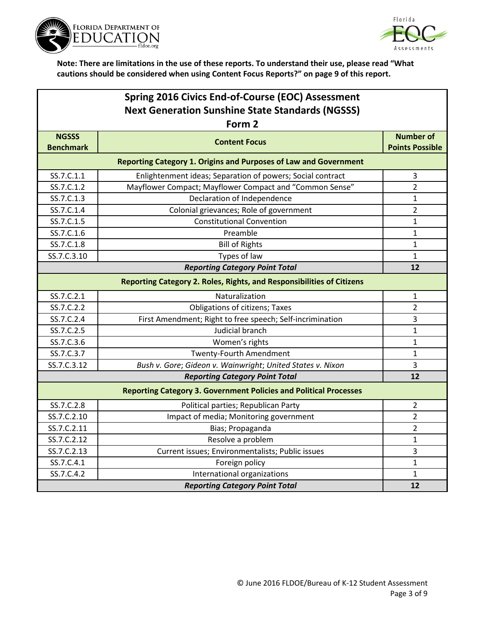



| Spring 2016 Civics End-of-Course (EOC) Assessment                 |                                                                          |                                            |  |
|-------------------------------------------------------------------|--------------------------------------------------------------------------|--------------------------------------------|--|
| <b>Next Generation Sunshine State Standards (NGSSS)</b><br>Form 2 |                                                                          |                                            |  |
| <b>NGSSS</b><br><b>Benchmark</b>                                  | <b>Content Focus</b>                                                     | <b>Number of</b><br><b>Points Possible</b> |  |
|                                                                   | <b>Reporting Category 1. Origins and Purposes of Law and Government</b>  |                                            |  |
| SS.7.C.1.1                                                        | Enlightenment ideas; Separation of powers; Social contract               | 3                                          |  |
| SS.7.C.1.2                                                        | Mayflower Compact; Mayflower Compact and "Common Sense"                  | $\overline{2}$                             |  |
| SS.7.C.1.3                                                        | Declaration of Independence                                              | $\mathbf{1}$                               |  |
| SS.7.C.1.4                                                        | Colonial grievances; Role of government                                  | $\overline{2}$                             |  |
| SS.7.C.1.5                                                        | <b>Constitutional Convention</b>                                         | $\mathbf{1}$                               |  |
| SS.7.C.1.6                                                        | Preamble                                                                 | $\mathbf{1}$                               |  |
| SS.7.C.1.8                                                        | <b>Bill of Rights</b>                                                    | $\mathbf{1}$                               |  |
| SS.7.C.3.10                                                       | Types of law                                                             | $\mathbf{1}$                               |  |
|                                                                   | <b>Reporting Category Point Total</b>                                    | 12                                         |  |
|                                                                   | Reporting Category 2. Roles, Rights, and Responsibilities of Citizens    |                                            |  |
| SS.7.C.2.1                                                        | Naturalization                                                           | 1                                          |  |
| SS.7.C.2.2                                                        | <b>Obligations of citizens; Taxes</b>                                    | $\overline{2}$                             |  |
| SS.7.C.2.4                                                        | First Amendment; Right to free speech; Self-incrimination                | 3                                          |  |
| SS.7.C.2.5                                                        | Judicial branch                                                          | $\mathbf{1}$                               |  |
| SS.7.C.3.6                                                        | Women's rights                                                           | $\mathbf{1}$                               |  |
| SS.7.C.3.7                                                        | Twenty-Fourth Amendment                                                  | $\mathbf{1}$                               |  |
| SS.7.C.3.12                                                       | Bush v. Gore; Gideon v. Wainwright; United States v. Nixon               | 3                                          |  |
|                                                                   | <b>Reporting Category Point Total</b>                                    | 12                                         |  |
|                                                                   | <b>Reporting Category 3. Government Policies and Political Processes</b> |                                            |  |
| SS.7.C.2.8                                                        | Political parties; Republican Party                                      | $\overline{2}$                             |  |
| SS.7.C.2.10                                                       | Impact of media; Monitoring government                                   | $\overline{2}$                             |  |
| SS.7.C.2.11                                                       | Bias; Propaganda                                                         | $\overline{2}$                             |  |
| SS.7.C.2.12                                                       | Resolve a problem                                                        | 1                                          |  |
| SS.7.C.2.13                                                       | Current issues; Environmentalists; Public issues                         | 3                                          |  |
| SS.7.C.4.1                                                        | Foreign policy                                                           | 1                                          |  |
| SS.7.C.4.2                                                        | International organizations                                              | $\mathbf{1}$                               |  |
|                                                                   | <b>Reporting Category Point Total</b>                                    | 12                                         |  |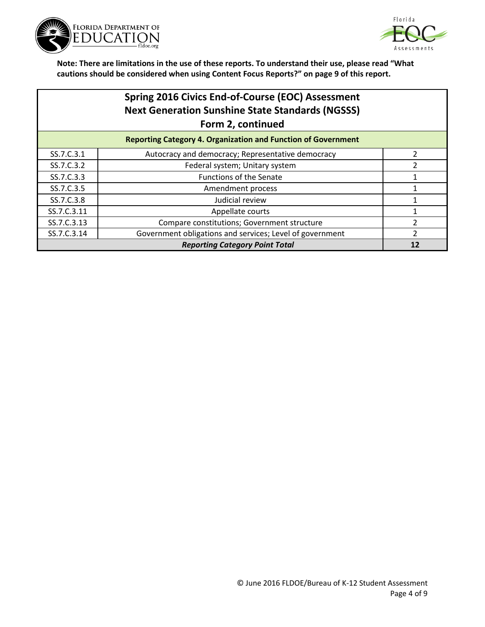



|             | <b>Spring 2016 Civics End-of-Course (EOC) Assessment</b><br><b>Next Generation Sunshine State Standards (NGSSS)</b><br>Form 2, continued |                |
|-------------|------------------------------------------------------------------------------------------------------------------------------------------|----------------|
|             | <b>Reporting Category 4. Organization and Function of Government</b>                                                                     |                |
| SS.7.C.3.1  | Autocracy and democracy; Representative democracy                                                                                        | 2              |
| SS.7.C.3.2  | Federal system; Unitary system                                                                                                           | 2              |
| SS.7.C.3.3  | <b>Functions of the Senate</b>                                                                                                           |                |
| SS.7.C.3.5  | Amendment process                                                                                                                        |                |
| SS.7.C.3.8  | Judicial review                                                                                                                          |                |
| SS.7.C.3.11 | Appellate courts                                                                                                                         |                |
| SS.7.C.3.13 | Compare constitutions; Government structure                                                                                              | $\mathfrak z$  |
| SS.7.C.3.14 | Government obligations and services; Level of government                                                                                 | $\overline{2}$ |
|             | <b>Reporting Category Point Total</b>                                                                                                    | 12             |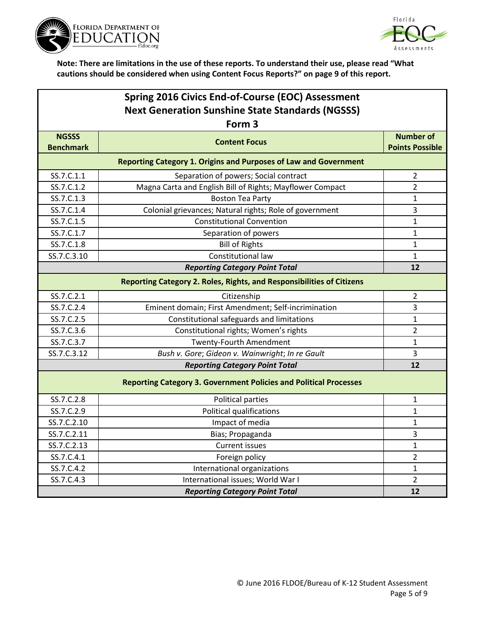



| Spring 2016 Civics End-of-Course (EOC) Assessment<br><b>Next Generation Sunshine State Standards (NGSSS)</b> |                                                                         |                                            |  |
|--------------------------------------------------------------------------------------------------------------|-------------------------------------------------------------------------|--------------------------------------------|--|
|                                                                                                              | Form <sub>3</sub>                                                       |                                            |  |
| <b>NGSSS</b><br><b>Benchmark</b>                                                                             | <b>Content Focus</b>                                                    | <b>Number of</b><br><b>Points Possible</b> |  |
|                                                                                                              | <b>Reporting Category 1. Origins and Purposes of Law and Government</b> |                                            |  |
| SS.7.C.1.1                                                                                                   | Separation of powers; Social contract                                   | $\overline{2}$                             |  |
| SS.7.C.1.2                                                                                                   | Magna Carta and English Bill of Rights; Mayflower Compact               | $\overline{2}$                             |  |
| SS.7.C.1.3                                                                                                   | <b>Boston Tea Party</b>                                                 | $\mathbf{1}$                               |  |
| SS.7.C.1.4                                                                                                   | Colonial grievances; Natural rights; Role of government                 | $\overline{3}$                             |  |
| SS.7.C.1.5                                                                                                   | <b>Constitutional Convention</b>                                        | $\mathbf{1}$                               |  |
| SS.7.C.1.7                                                                                                   | Separation of powers                                                    | $\mathbf{1}$                               |  |
| SS.7.C.1.8                                                                                                   | <b>Bill of Rights</b>                                                   | $\mathbf{1}$                               |  |
| SS.7.C.3.10                                                                                                  | Constitutional law                                                      | $\mathbf{1}$                               |  |
|                                                                                                              | <b>Reporting Category Point Total</b>                                   | 12                                         |  |
|                                                                                                              | Reporting Category 2. Roles, Rights, and Responsibilities of Citizens   |                                            |  |
| SS.7.C.2.1                                                                                                   | Citizenship                                                             | 2                                          |  |
| SS.7.C.2.4                                                                                                   | Eminent domain; First Amendment; Self-incrimination                     | 3                                          |  |
| SS.7.C.2.5                                                                                                   | Constitutional safeguards and limitations                               | $\mathbf{1}$                               |  |
| SS.7.C.3.6                                                                                                   | Constitutional rights; Women's rights                                   | $\overline{2}$                             |  |
| SS.7.C.3.7                                                                                                   | Twenty-Fourth Amendment                                                 | $\mathbf{1}$                               |  |
| SS.7.C.3.12                                                                                                  | Bush v. Gore; Gideon v. Wainwright; In re Gault                         | 3                                          |  |
|                                                                                                              | <b>Reporting Category Point Total</b>                                   | 12                                         |  |
| <b>Reporting Category 3. Government Policies and Political Processes</b>                                     |                                                                         |                                            |  |
| SS.7.C.2.8                                                                                                   | Political parties                                                       | $\mathbf{1}$                               |  |
| SS.7.C.2.9                                                                                                   | Political qualifications                                                | $\mathbf{1}$                               |  |
| SS.7.C.2.10                                                                                                  | Impact of media                                                         | 1                                          |  |
| SS.7.C.2.11                                                                                                  | Bias; Propaganda                                                        | 3                                          |  |
| SS.7.C.2.13                                                                                                  | <b>Current issues</b>                                                   | $\mathbf{1}$                               |  |
| SS.7.C.4.1                                                                                                   | Foreign policy                                                          | $\overline{2}$                             |  |
| SS.7.C.4.2                                                                                                   | International organizations                                             | 1                                          |  |
| SS.7.C.4.3                                                                                                   | International issues; World War I                                       | $\overline{2}$                             |  |
|                                                                                                              | <b>Reporting Category Point Total</b>                                   | 12                                         |  |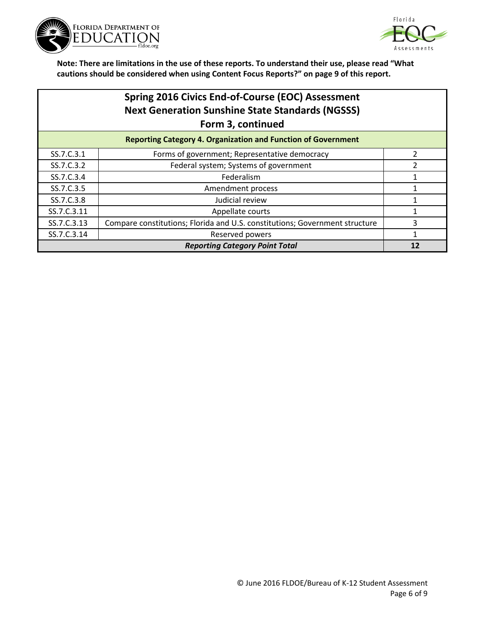



| Spring 2016 Civics End-of-Course (EOC) Assessment                    |
|----------------------------------------------------------------------|
| <b>Next Generation Sunshine State Standards (NGSSS)</b>              |
| Form 3, continued                                                    |
| <b>Donorting Catogory A. Organization and Eunction of Covernment</b> |

|             | <b>Reporting Category 4. Organization and Function of Government</b>        |  |
|-------------|-----------------------------------------------------------------------------|--|
| SS.7.C.3.1  | Forms of government; Representative democracy                               |  |
| SS.7.C.3.2  | Federal system; Systems of government                                       |  |
| SS.7.C.3.4  | Federalism                                                                  |  |
| SS.7.C.3.5  | Amendment process                                                           |  |
| SS.7.C.3.8  | Judicial review                                                             |  |
| SS.7.C.3.11 | Appellate courts                                                            |  |
| SS.7.C.3.13 | Compare constitutions; Florida and U.S. constitutions; Government structure |  |
| SS.7.C.3.14 | Reserved powers                                                             |  |
|             | <b>Reporting Category Point Total</b>                                       |  |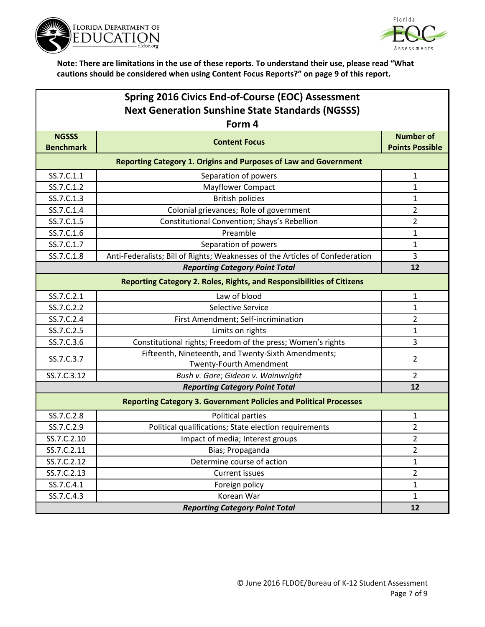



| <b>Spring 2016 Civics End-of-Course (EOC) Assessment</b> |                                                                                       |                                            |  |  |
|----------------------------------------------------------|---------------------------------------------------------------------------------------|--------------------------------------------|--|--|
| <b>Next Generation Sunshine State Standards (NGSSS)</b>  |                                                                                       |                                            |  |  |
|                                                          | Form 4                                                                                |                                            |  |  |
| <b>NGSSS</b><br><b>Benchmark</b>                         | <b>Content Focus</b>                                                                  | <b>Number of</b><br><b>Points Possible</b> |  |  |
|                                                          | <b>Reporting Category 1. Origins and Purposes of Law and Government</b>               |                                            |  |  |
| SS.7.C.1.1                                               | Separation of powers                                                                  | $\mathbf{1}$                               |  |  |
| SS.7.C.1.2                                               | Mayflower Compact                                                                     | $\mathbf{1}$                               |  |  |
| SS.7.C.1.3                                               | <b>British policies</b>                                                               | 1                                          |  |  |
| SS.7.C.1.4                                               | Colonial grievances; Role of government                                               | $\overline{2}$                             |  |  |
| SS.7.C.1.5                                               | Constitutional Convention; Shays's Rebellion                                          | 2                                          |  |  |
| SS.7.C.1.6                                               | Preamble                                                                              | 1                                          |  |  |
| SS.7.C.1.7                                               | Separation of powers                                                                  | $\mathbf{1}$                               |  |  |
| SS.7.C.1.8                                               | Anti-Federalists; Bill of Rights; Weaknesses of the Articles of Confederation         | 3                                          |  |  |
|                                                          | <b>Reporting Category Point Total</b>                                                 | 12                                         |  |  |
|                                                          | Reporting Category 2. Roles, Rights, and Responsibilities of Citizens                 |                                            |  |  |
| SS.7.C.2.1                                               | Law of blood                                                                          | $\mathbf{1}$                               |  |  |
| SS.7.C.2.2                                               | Selective Service                                                                     | 1                                          |  |  |
| SS.7.C.2.4                                               | First Amendment; Self-incrimination                                                   | $\overline{2}$                             |  |  |
| SS.7.C.2.5                                               | Limits on rights                                                                      | 1                                          |  |  |
| SS.7.C.3.6                                               | Constitutional rights; Freedom of the press; Women's rights                           | 3                                          |  |  |
| SS.7.C.3.7                                               | Fifteenth, Nineteenth, and Twenty-Sixth Amendments;<br><b>Twenty-Fourth Amendment</b> | 2                                          |  |  |
| SS.7.C.3.12                                              | Bush v. Gore; Gideon v. Wainwright                                                    | $\overline{2}$                             |  |  |
|                                                          | <b>Reporting Category Point Total</b>                                                 | 12                                         |  |  |
|                                                          | <b>Reporting Category 3. Government Policies and Political Processes</b>              |                                            |  |  |
| SS.7.C.2.8                                               | Political parties                                                                     | 1                                          |  |  |
| SS.7.C.2.9                                               | Political qualifications; State election requirements                                 | 2                                          |  |  |
| SS.7.C.2.10                                              | Impact of media; Interest groups                                                      | $\overline{2}$                             |  |  |
| SS.7.C.2.11                                              | Bias; Propaganda                                                                      | $\overline{2}$                             |  |  |
| SS.7.C.2.12                                              | Determine course of action                                                            | 1                                          |  |  |
| SS.7.C.2.13                                              | Current issues                                                                        | $\overline{2}$                             |  |  |
| SS.7.C.4.1                                               | Foreign policy                                                                        | $\mathbf{1}$                               |  |  |
| SS.7.C.4.3                                               | Korean War                                                                            | $\mathbf{1}$                               |  |  |
|                                                          | <b>Reporting Category Point Total</b><br>12                                           |                                            |  |  |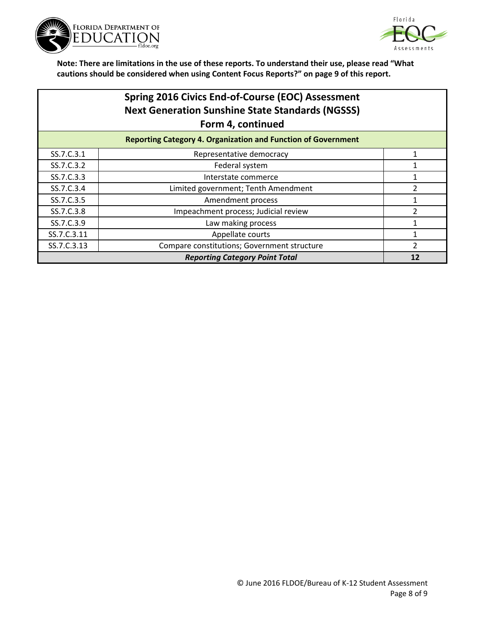



## **Spring 2016 Civics End-of-Course (EOC) Assessment Next Generation Sunshine State Standards (NGSSS) Form 4, continued**

| <b>Reporting Category 4. Organization and Function of Government</b> |                                             |  |
|----------------------------------------------------------------------|---------------------------------------------|--|
| SS.7.C.3.1                                                           | Representative democracy                    |  |
| SS.7.C.3.2                                                           | Federal system                              |  |
| SS.7.C.3.3                                                           | Interstate commerce                         |  |
| SS.7.C.3.4                                                           | Limited government; Tenth Amendment         |  |
| SS.7.C.3.5                                                           | Amendment process                           |  |
| SS.7.C.3.8                                                           | Impeachment process; Judicial review        |  |
| SS.7.C.3.9                                                           | Law making process                          |  |
| SS.7.C.3.11                                                          | Appellate courts                            |  |
| SS.7.C.3.13                                                          | Compare constitutions; Government structure |  |
| <b>Reporting Category Point Total</b>                                |                                             |  |